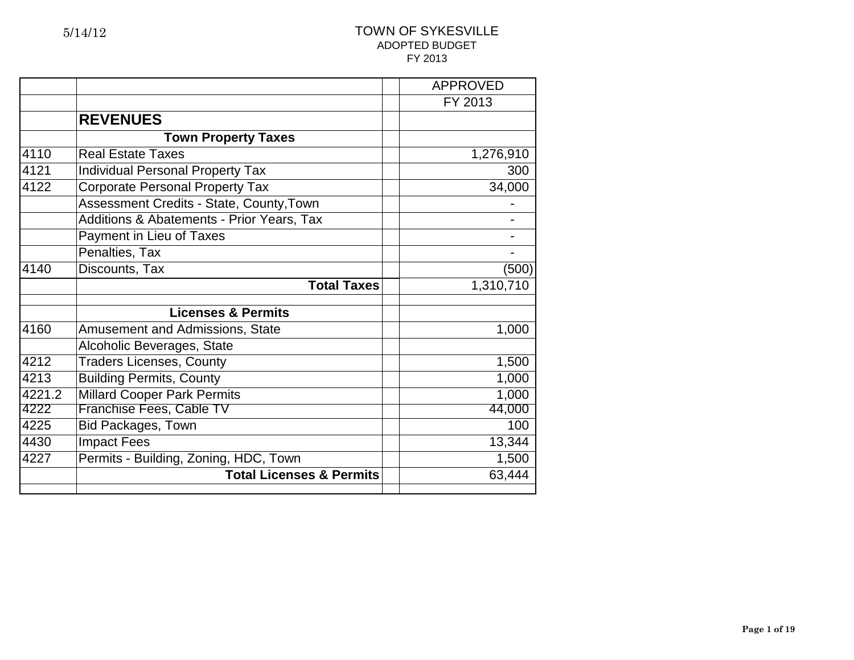|        |                                           | <b>APPROVED</b> |
|--------|-------------------------------------------|-----------------|
|        |                                           | FY 2013         |
|        | <b>REVENUES</b>                           |                 |
|        | <b>Town Property Taxes</b>                |                 |
| 4110   | <b>Real Estate Taxes</b>                  | 1,276,910       |
| 4121   | <b>Individual Personal Property Tax</b>   | 300             |
| 4122   | <b>Corporate Personal Property Tax</b>    | 34,000          |
|        | Assessment Credits - State, County, Town  |                 |
|        | Additions & Abatements - Prior Years, Tax |                 |
|        | Payment in Lieu of Taxes                  |                 |
|        | Penalties, Tax                            |                 |
| 4140   | Discounts, Tax                            | (500)           |
|        | <b>Total Taxes</b>                        | 1,310,710       |
|        | <b>Licenses &amp; Permits</b>             |                 |
| 4160   | <b>Amusement and Admissions, State</b>    | 1,000           |
|        | Alcoholic Beverages, State                |                 |
| 4212   | <b>Traders Licenses, County</b>           | 1,500           |
| 4213   | <b>Building Permits, County</b>           | 1,000           |
| 4221.2 | <b>Millard Cooper Park Permits</b>        | 1,000           |
| 4222   | Franchise Fees, Cable TV                  | 44,000          |
| 4225   | <b>Bid Packages, Town</b>                 | 100             |
| 4430   | <b>Impact Fees</b>                        | 13,344          |
| 4227   | Permits - Building, Zoning, HDC, Town     | 1,500           |
|        | <b>Total Licenses &amp; Permits</b>       | 63,444          |
|        |                                           |                 |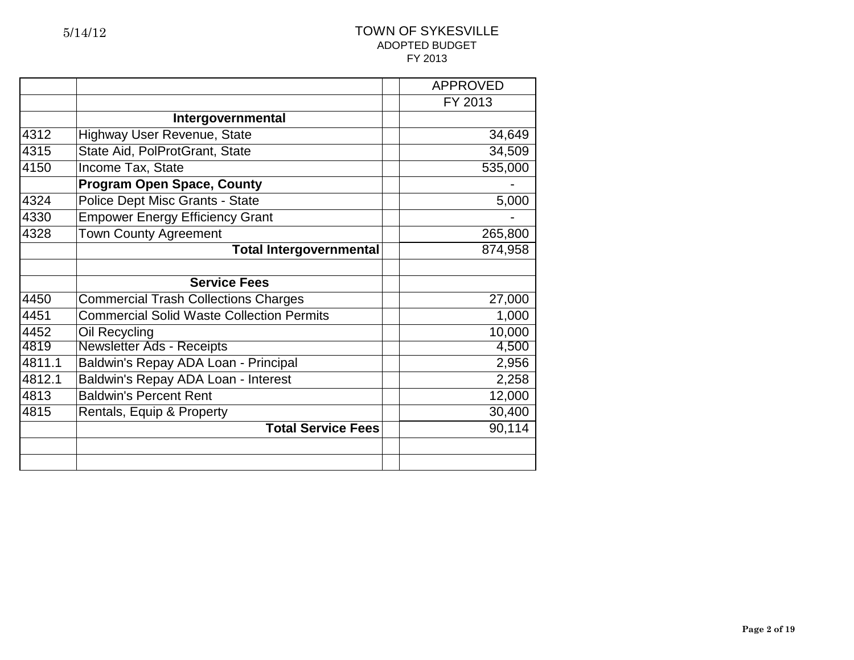| FY 2013<br>Intergovernmental<br>4312<br>Highway User Revenue, State<br>34,649<br>State Aid, PolProtGrant, State<br>4315<br>34,509<br>535,000<br>4150<br>Income Tax, State<br><b>Program Open Space, County</b><br>Police Dept Misc Grants - State<br>4324<br>5,000<br><b>Empower Energy Efficiency Grant</b><br>4330<br><b>Town County Agreement</b><br>4328<br>265,800<br><b>Total Intergovernmental</b><br>874,958 |  |
|----------------------------------------------------------------------------------------------------------------------------------------------------------------------------------------------------------------------------------------------------------------------------------------------------------------------------------------------------------------------------------------------------------------------|--|
|                                                                                                                                                                                                                                                                                                                                                                                                                      |  |
|                                                                                                                                                                                                                                                                                                                                                                                                                      |  |
|                                                                                                                                                                                                                                                                                                                                                                                                                      |  |
|                                                                                                                                                                                                                                                                                                                                                                                                                      |  |
|                                                                                                                                                                                                                                                                                                                                                                                                                      |  |
|                                                                                                                                                                                                                                                                                                                                                                                                                      |  |
|                                                                                                                                                                                                                                                                                                                                                                                                                      |  |
|                                                                                                                                                                                                                                                                                                                                                                                                                      |  |
|                                                                                                                                                                                                                                                                                                                                                                                                                      |  |
|                                                                                                                                                                                                                                                                                                                                                                                                                      |  |
|                                                                                                                                                                                                                                                                                                                                                                                                                      |  |
| <b>Service Fees</b>                                                                                                                                                                                                                                                                                                                                                                                                  |  |
| 4450<br><b>Commercial Trash Collections Charges</b><br>27,000                                                                                                                                                                                                                                                                                                                                                        |  |
| <b>Commercial Solid Waste Collection Permits</b><br>1,000<br>4451                                                                                                                                                                                                                                                                                                                                                    |  |
| 10,000<br>4452<br>Oil Recycling                                                                                                                                                                                                                                                                                                                                                                                      |  |
| 4819<br><b>Newsletter Ads - Receipts</b><br>4,500                                                                                                                                                                                                                                                                                                                                                                    |  |
| 4811.1<br>Baldwin's Repay ADA Loan - Principal<br>2,956                                                                                                                                                                                                                                                                                                                                                              |  |
| Baldwin's Repay ADA Loan - Interest<br>4812.1<br>2,258                                                                                                                                                                                                                                                                                                                                                               |  |
| <b>Baldwin's Percent Rent</b><br>4813<br>12,000                                                                                                                                                                                                                                                                                                                                                                      |  |
| 30,400<br>4815<br>Rentals, Equip & Property                                                                                                                                                                                                                                                                                                                                                                          |  |
| <b>Total Service Fees</b><br>90,114                                                                                                                                                                                                                                                                                                                                                                                  |  |
|                                                                                                                                                                                                                                                                                                                                                                                                                      |  |
|                                                                                                                                                                                                                                                                                                                                                                                                                      |  |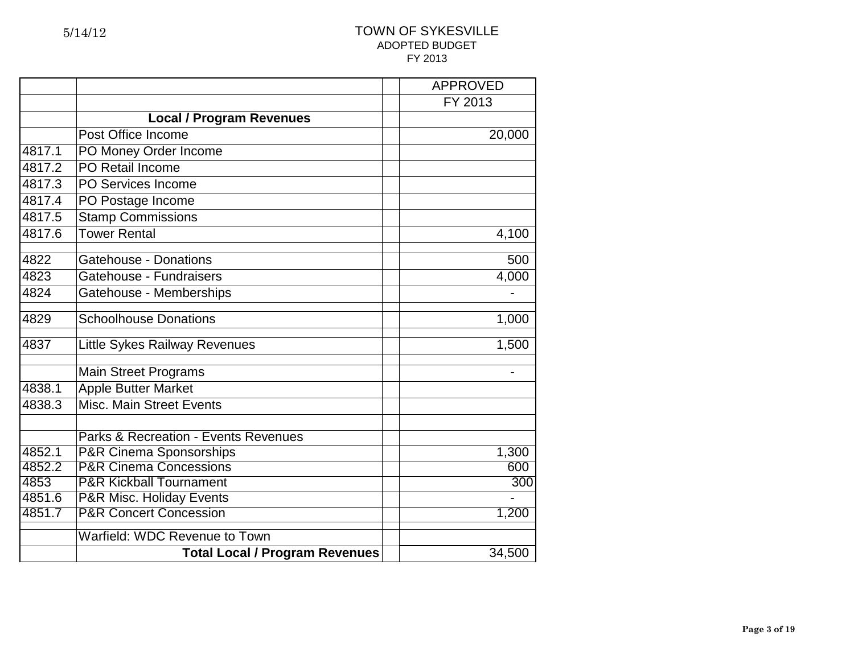|        |                                                 | <b>APPROVED</b> |
|--------|-------------------------------------------------|-----------------|
|        |                                                 | FY 2013         |
|        | <b>Local / Program Revenues</b>                 |                 |
|        | Post Office Income                              | 20,000          |
| 4817.1 | PO Money Order Income                           |                 |
| 4817.2 | PO Retail Income                                |                 |
| 4817.3 | PO Services Income                              |                 |
| 4817.4 | PO Postage Income                               |                 |
| 4817.5 | <b>Stamp Commissions</b>                        |                 |
| 4817.6 | <b>Tower Rental</b>                             | 4,100           |
|        |                                                 |                 |
| 4822   | <b>Gatehouse - Donations</b>                    | 500             |
| 4823   | Gatehouse - Fundraisers                         | 4,000           |
| 4824   | Gatehouse - Memberships                         |                 |
| 4829   | <b>Schoolhouse Donations</b>                    | 1,000           |
| 4837   | Little Sykes Railway Revenues                   | 1,500           |
|        | <b>Main Street Programs</b>                     |                 |
| 4838.1 | <b>Apple Butter Market</b>                      |                 |
| 4838.3 | <b>Misc. Main Street Events</b>                 |                 |
|        | <b>Parks &amp; Recreation - Events Revenues</b> |                 |
| 4852.1 | <b>P&amp;R Cinema Sponsorships</b>              | 1,300           |
| 4852.2 | <b>P&amp;R Cinema Concessions</b>               | 600             |
| 4853   | <b>P&amp;R Kickball Tournament</b>              | 300             |
| 4851.6 | <b>P&amp;R Misc. Holiday Events</b>             |                 |
| 4851.7 | <b>P&amp;R Concert Concession</b>               | 1,200           |
|        | Warfield: WDC Revenue to Town                   |                 |
|        | <b>Total Local / Program Revenues</b>           | 34,500          |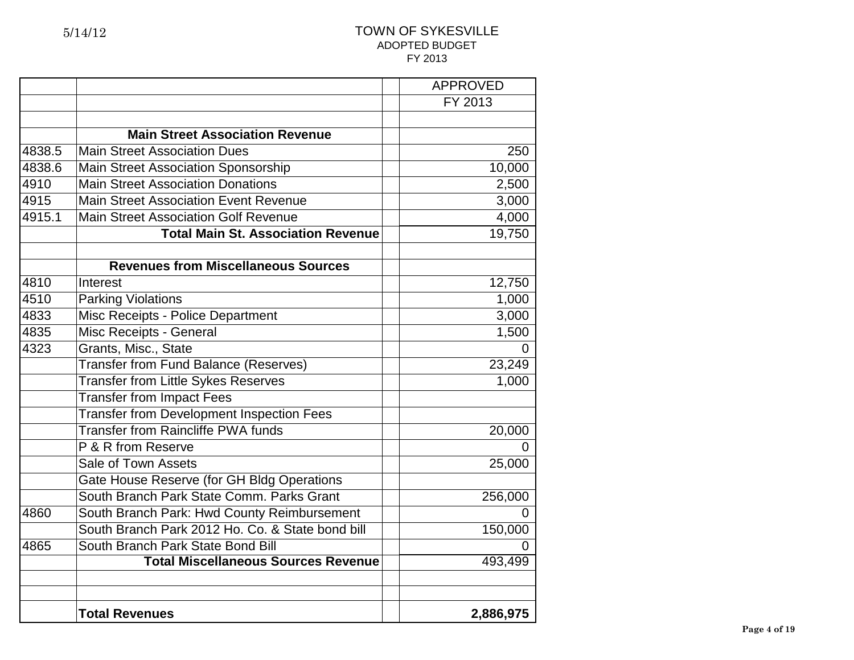|        |                                                  | <b>APPROVED</b> |
|--------|--------------------------------------------------|-----------------|
|        |                                                  | FY 2013         |
|        |                                                  |                 |
|        | <b>Main Street Association Revenue</b>           |                 |
| 4838.5 | <b>Main Street Association Dues</b>              | 250             |
| 4838.6 | Main Street Association Sponsorship              | 10,000          |
| 4910   | <b>Main Street Association Donations</b>         | 2,500           |
| 4915   | <b>Main Street Association Event Revenue</b>     | 3,000           |
| 4915.1 | <b>Main Street Association Golf Revenue</b>      | 4,000           |
|        | <b>Total Main St. Association Revenue</b>        | 19,750          |
|        |                                                  |                 |
|        | <b>Revenues from Miscellaneous Sources</b>       |                 |
| 4810   | Interest                                         | 12,750          |
| 4510   | <b>Parking Violations</b>                        | 1,000           |
| 4833   | Misc Receipts - Police Department                | 3,000           |
| 4835   | Misc Receipts - General                          | 1,500           |
| 4323   | Grants, Misc., State                             |                 |
|        | <b>Transfer from Fund Balance (Reserves)</b>     | 23,249          |
|        | <b>Transfer from Little Sykes Reserves</b>       | 1,000           |
|        | <b>Transfer from Impact Fees</b>                 |                 |
|        | <b>Transfer from Development Inspection Fees</b> |                 |
|        | <b>Transfer from Raincliffe PWA funds</b>        | 20,000          |
|        | P & R from Reserve                               |                 |
|        | Sale of Town Assets                              | 25,000          |
|        | Gate House Reserve (for GH Bldg Operations       |                 |
|        | South Branch Park State Comm. Parks Grant        | 256,000         |
| 4860   | South Branch Park: Hwd County Reimbursement      |                 |
|        | South Branch Park 2012 Ho. Co. & State bond bill | 150,000         |
| 4865   | South Branch Park State Bond Bill                | 0               |
|        | <b>Total Miscellaneous Sources Revenue</b>       | 493,499         |
|        |                                                  |                 |
|        |                                                  |                 |
|        | <b>Total Revenues</b>                            | 2,886,975       |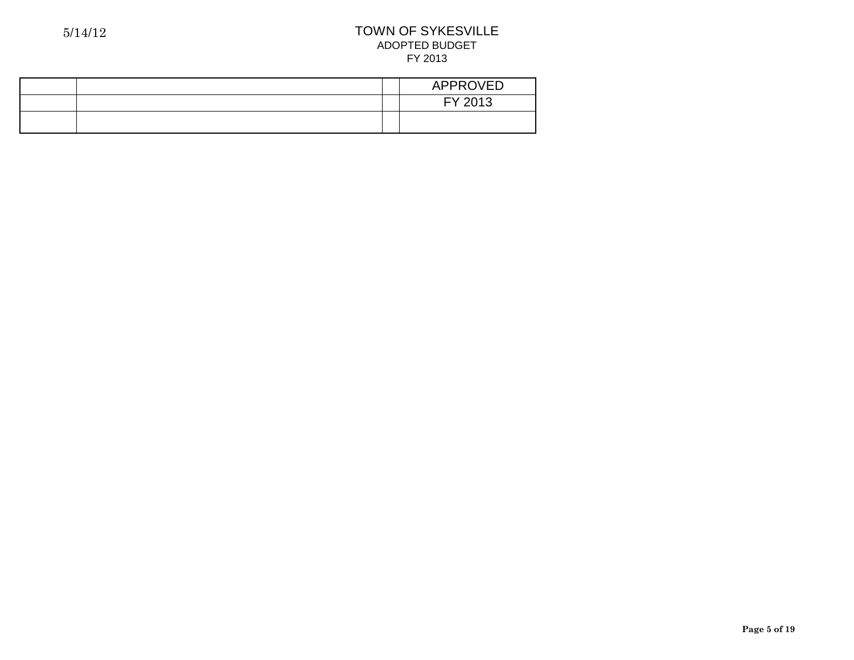|  | <b>APPROVED</b> |
|--|-----------------|
|  | FY 2013         |
|  |                 |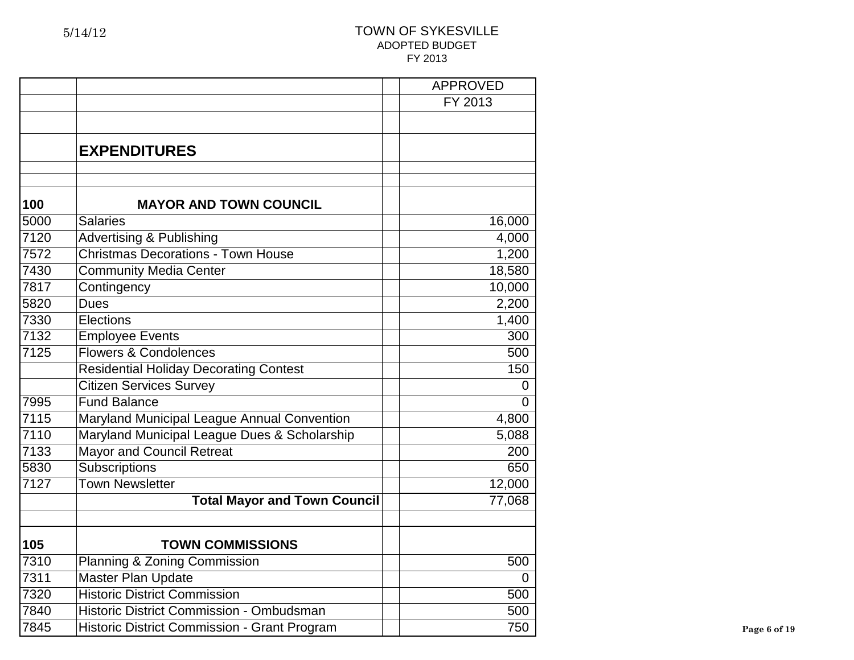|      |                                               | <b>APPROVED</b> |              |
|------|-----------------------------------------------|-----------------|--------------|
|      |                                               | FY 2013         |              |
|      |                                               |                 |              |
|      | <b>EXPENDITURES</b>                           |                 |              |
| 100  | <b>MAYOR AND TOWN COUNCIL</b>                 |                 |              |
| 5000 | <b>Salaries</b>                               | 16,000          |              |
| 7120 | <b>Advertising &amp; Publishing</b>           | 4,000           |              |
| 7572 | <b>Christmas Decorations - Town House</b>     | 1,200           |              |
| 7430 | Community Media Center                        | 18,580          |              |
| 7817 | Contingency                                   | 10,000          |              |
| 5820 | <b>Dues</b>                                   | 2,200           |              |
| 7330 | Elections                                     | 1,400           |              |
| 7132 | <b>Employee Events</b>                        | 300             |              |
| 7125 | <b>Flowers &amp; Condolences</b>              | 500             |              |
|      | <b>Residential Holiday Decorating Contest</b> | 150             |              |
|      | <b>Citizen Services Survey</b>                | $\overline{0}$  |              |
| 7995 | <b>Fund Balance</b>                           | $\Omega$        |              |
| 7115 | Maryland Municipal League Annual Convention   | 4,800           |              |
| 7110 | Maryland Municipal League Dues & Scholarship  | 5,088           |              |
| 7133 | <b>Mayor and Council Retreat</b>              | 200             |              |
| 5830 | Subscriptions                                 | 650             |              |
| 7127 | <b>Town Newsletter</b>                        | 12,000          |              |
|      | <b>Total Mayor and Town Council</b>           | 77,068          |              |
| 105  | <b>TOWN COMMISSIONS</b>                       |                 |              |
| 7310 | Planning & Zoning Commission                  | 500             |              |
| 7311 | <b>Master Plan Update</b>                     | $\Omega$        |              |
| 7320 | <b>Historic District Commission</b>           | 500             |              |
| 7840 | Historic District Commission - Ombudsman      | 500             |              |
| 7845 | Historic District Commission - Grant Program  | 750             | Page 6 of 19 |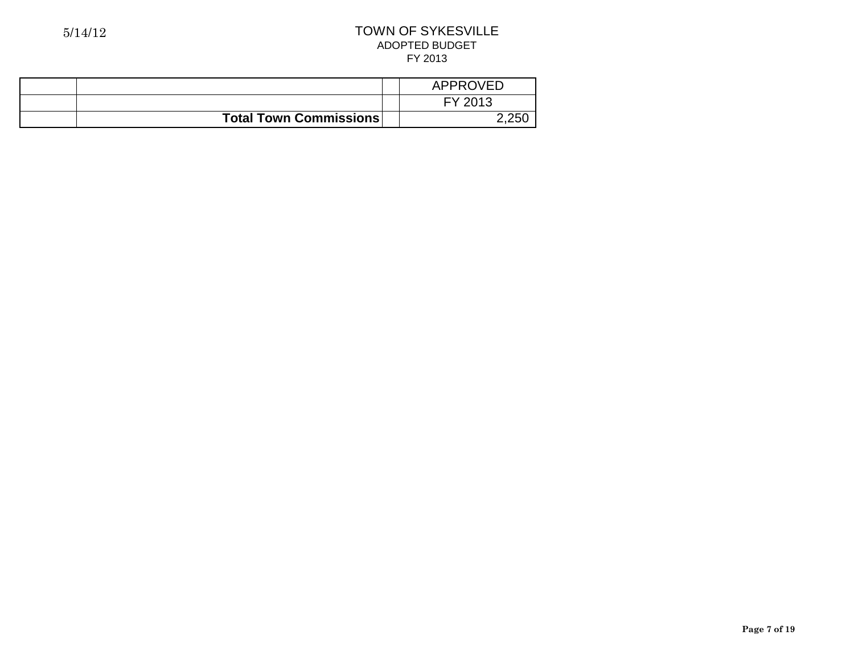|                               | APPROVED |
|-------------------------------|----------|
|                               | FY 2013  |
| <b>Total Town Commissions</b> | つ つらい    |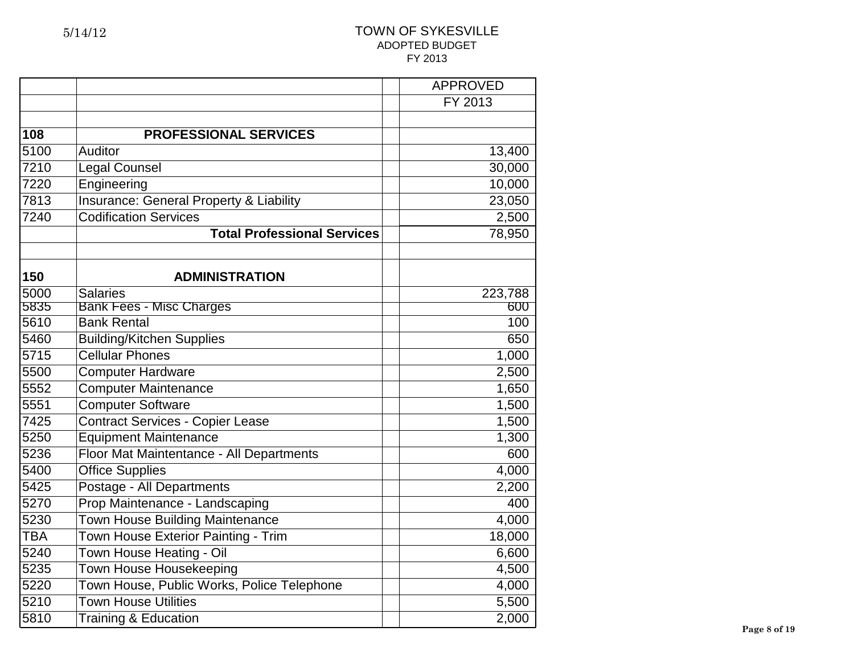|            |                                            | <b>APPROVED</b> |
|------------|--------------------------------------------|-----------------|
|            |                                            | FY 2013         |
|            |                                            |                 |
| 108        | <b>PROFESSIONAL SERVICES</b>               |                 |
| 5100       | Auditor                                    | 13,400          |
| 7210       | <b>Legal Counsel</b>                       | 30,000          |
| 7220       | Engineering                                | 10,000          |
| 7813       | Insurance: General Property & Liability    | 23,050          |
| 7240       | <b>Codification Services</b>               | 2,500           |
|            | <b>Total Professional Services</b>         | 78,950          |
|            |                                            |                 |
| 150        | <b>ADMINISTRATION</b>                      |                 |
| 5000       | <b>Salaries</b>                            | 223,788         |
| 5835       | <b>Bank Fees - Misc Charges</b>            | 600             |
| 5610       | <b>Bank Rental</b>                         | 100             |
| 5460       | <b>Building/Kitchen Supplies</b>           | 650             |
| 5715       | <b>Cellular Phones</b>                     | 1,000           |
| 5500       | <b>Computer Hardware</b>                   | 2,500           |
| 5552       | <b>Computer Maintenance</b>                | 1,650           |
| 5551       | <b>Computer Software</b>                   | 1,500           |
| 7425       | Contract Services - Copier Lease           | 1,500           |
| 5250       | <b>Equipment Maintenance</b>               | 1,300           |
| 5236       | Floor Mat Maintentance - All Departments   | 600             |
| 5400       | <b>Office Supplies</b>                     | 4,000           |
| 5425       | Postage - All Departments                  | 2,200           |
| 5270       | Prop Maintenance - Landscaping             | 400             |
| 5230       | <b>Town House Building Maintenance</b>     | 4,000           |
| <b>TBA</b> | Town House Exterior Painting - Trim        | 18,000          |
| 5240       | Town House Heating - Oil                   | 6,600           |
| 5235       | Town House Housekeeping                    | 4,500           |
| 5220       | Town House, Public Works, Police Telephone | 4,000           |
| 5210       | <b>Town House Utilities</b>                | 5,500           |
| 5810       | <b>Training &amp; Education</b>            | 2,000           |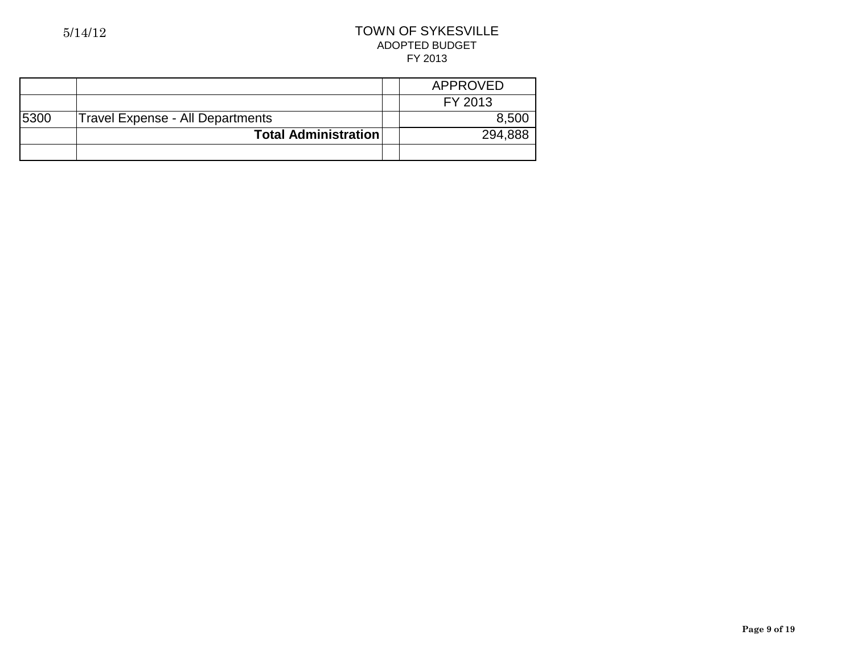|      |                                         | APPROVED |
|------|-----------------------------------------|----------|
|      |                                         | FY 2013  |
| 5300 | <b>Travel Expense - All Departments</b> | 8,500    |
|      | <b>Total Administration</b>             | 294,888  |
|      |                                         |          |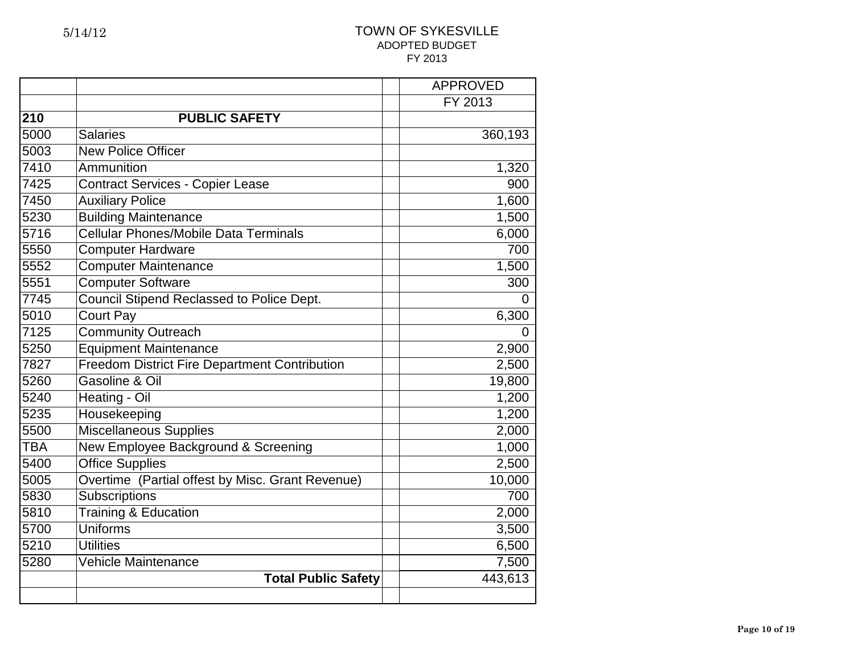|                  |                                                      | <b>APPROVED</b> |
|------------------|------------------------------------------------------|-----------------|
|                  |                                                      | FY 2013         |
| $\overline{2}10$ | <b>PUBLIC SAFETY</b>                                 |                 |
| 5000             | <b>Salaries</b>                                      | 360,193         |
| 5003             | <b>New Police Officer</b>                            |                 |
| 7410             | Ammunition                                           | 1,320           |
| 7425             | Contract Services - Copier Lease                     | 900             |
| 7450             | <b>Auxiliary Police</b>                              | 1,600           |
| 5230             | <b>Building Maintenance</b>                          | 1,500           |
| 5716             | Cellular Phones/Mobile Data Terminals                | 6,000           |
| 5550             | <b>Computer Hardware</b>                             | 700             |
| 5552             | <b>Computer Maintenance</b>                          | 1,500           |
| 5551             | <b>Computer Software</b>                             | 300             |
| 7745             | Council Stipend Reclassed to Police Dept.            | 0               |
| 5010             | <b>Court Pay</b>                                     | 6,300           |
| 7125             | <b>Community Outreach</b>                            | 0               |
| 5250             | <b>Equipment Maintenance</b>                         | 2,900           |
| 7827             | <b>Freedom District Fire Department Contribution</b> | 2,500           |
| 5260             | Gasoline & Oil                                       | 19,800          |
| 5240             | Heating - Oil                                        | 1,200           |
| 5235             | Housekeeping                                         | 1,200           |
| 5500             | <b>Miscellaneous Supplies</b>                        | 2,000           |
| <b>TBA</b>       | New Employee Background & Screening                  | 1,000           |
| 5400             | <b>Office Supplies</b>                               | 2,500           |
| 5005             | Overtime (Partial offest by Misc. Grant Revenue)     | 10,000          |
| 5830             | Subscriptions                                        | 700             |
| 5810             | <b>Training &amp; Education</b>                      | 2,000           |
| 5700             | <b>Uniforms</b>                                      | 3,500           |
| 5210             | <b>Utilities</b>                                     | 6,500           |
| 5280             | <b>Vehicle Maintenance</b>                           | 7,500           |
|                  | <b>Total Public Safety</b>                           | 443,613         |
|                  |                                                      |                 |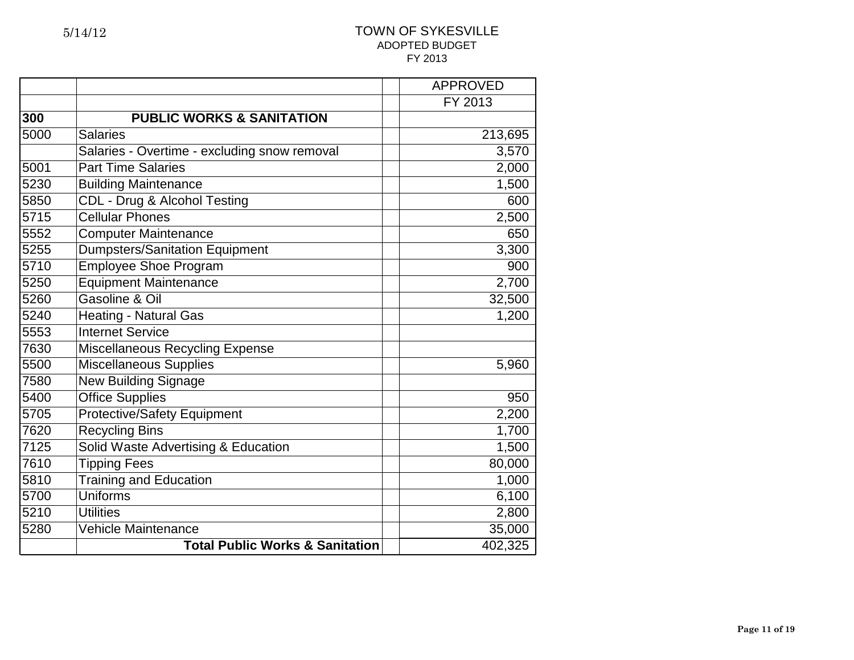|      |                                              | <b>APPROVED</b> |
|------|----------------------------------------------|-----------------|
|      |                                              | FY 2013         |
| 300  | <b>PUBLIC WORKS &amp; SANITATION</b>         |                 |
| 5000 | <b>Salaries</b>                              | 213,695         |
|      | Salaries - Overtime - excluding snow removal | 3,570           |
| 5001 | <b>Part Time Salaries</b>                    | 2,000           |
| 5230 | <b>Building Maintenance</b>                  | 1,500           |
| 5850 | CDL - Drug & Alcohol Testing                 | 600             |
| 5715 | <b>Cellular Phones</b>                       | 2,500           |
| 5552 | Computer Maintenance                         | 650             |
| 5255 | <b>Dumpsters/Sanitation Equipment</b>        | 3,300           |
| 5710 | <b>Employee Shoe Program</b>                 | 900             |
| 5250 | <b>Equipment Maintenance</b>                 | 2,700           |
| 5260 | Gasoline & Oil                               | 32,500          |
| 5240 | <b>Heating - Natural Gas</b>                 | 1,200           |
| 5553 | <b>Internet Service</b>                      |                 |
| 7630 | <b>Miscellaneous Recycling Expense</b>       |                 |
| 5500 | <b>Miscellaneous Supplies</b>                | 5,960           |
| 7580 | <b>New Building Signage</b>                  |                 |
| 5400 | <b>Office Supplies</b>                       | 950             |
| 5705 | <b>Protective/Safety Equipment</b>           | 2,200           |
| 7620 | <b>Recycling Bins</b>                        | 1,700           |
| 7125 | Solid Waste Advertising & Education          | 1,500           |
| 7610 | <b>Tipping Fees</b>                          | 80,000          |
| 5810 | <b>Training and Education</b>                | 1,000           |
| 5700 | <b>Uniforms</b>                              | 6,100           |
| 5210 | <b>Utilities</b>                             | 2,800           |
| 5280 | <b>Vehicle Maintenance</b>                   | 35,000          |
|      | <b>Total Public Works &amp; Sanitation</b>   | 402,325         |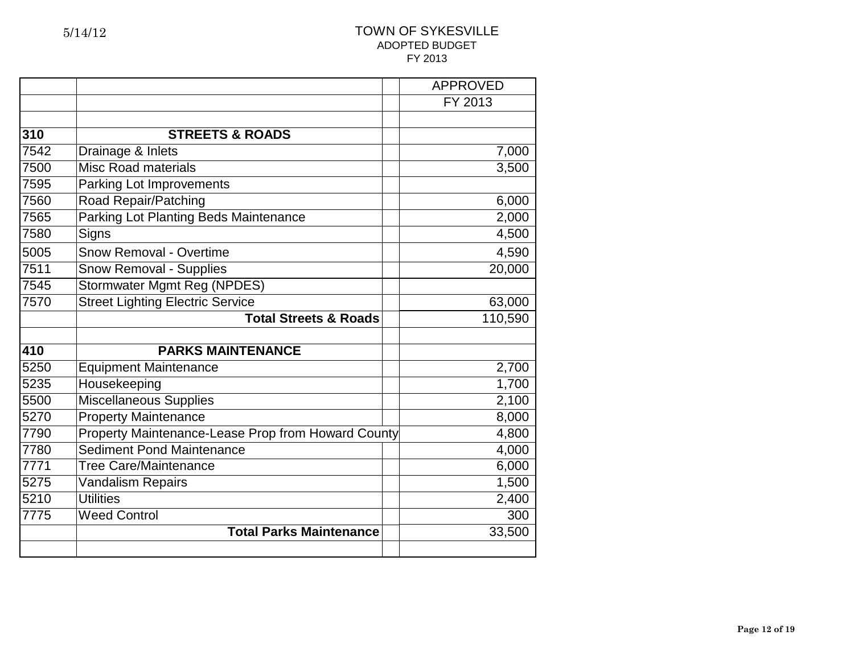|      |                                                    | <b>APPROVED</b> |
|------|----------------------------------------------------|-----------------|
|      |                                                    | FY 2013         |
|      |                                                    |                 |
| 310  | <b>STREETS &amp; ROADS</b>                         |                 |
| 7542 | Drainage & Inlets                                  | 7,000           |
| 7500 | <b>Misc Road materials</b>                         | 3,500           |
| 7595 | <b>Parking Lot Improvements</b>                    |                 |
| 7560 | Road Repair/Patching                               | 6,000           |
| 7565 | <b>Parking Lot Planting Beds Maintenance</b>       | 2,000           |
| 7580 | Signs                                              | 4,500           |
| 5005 | <b>Snow Removal - Overtime</b>                     | 4,590           |
| 7511 | <b>Snow Removal - Supplies</b>                     | 20,000          |
| 7545 | <b>Stormwater Mgmt Reg (NPDES)</b>                 |                 |
| 7570 | <b>Street Lighting Electric Service</b>            | 63,000          |
|      | <b>Total Streets &amp; Roads</b>                   | 110,590         |
|      |                                                    |                 |
| 410  | <b>PARKS MAINTENANCE</b>                           |                 |
| 5250 | <b>Equipment Maintenance</b>                       | 2,700           |
| 5235 | Housekeeping                                       | 1,700           |
| 5500 | <b>Miscellaneous Supplies</b>                      | 2,100           |
| 5270 | <b>Property Maintenance</b>                        | 8,000           |
| 7790 | Property Maintenance-Lease Prop from Howard County | 4,800           |
| 7780 | <b>Sediment Pond Maintenance</b>                   | 4,000           |
| 7771 | <b>Tree Care/Maintenance</b>                       | 6,000           |
| 5275 | <b>Vandalism Repairs</b>                           | 1,500           |
| 5210 | <b>Utilities</b>                                   | 2,400           |
| 7775 | <b>Weed Control</b>                                | 300             |
|      | <b>Total Parks Maintenance</b>                     | 33,500          |
|      |                                                    |                 |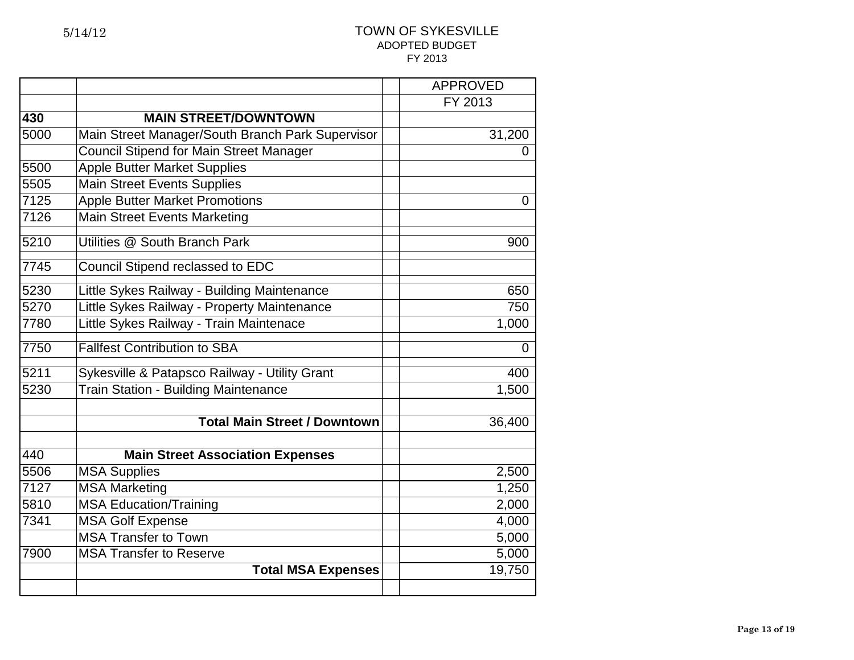|      |                                                  | <b>APPROVED</b> |
|------|--------------------------------------------------|-----------------|
|      |                                                  | FY 2013         |
| 430  | <b>MAIN STREET/DOWNTOWN</b>                      |                 |
| 5000 | Main Street Manager/South Branch Park Supervisor | 31,200          |
|      | <b>Council Stipend for Main Street Manager</b>   | 0               |
| 5500 | <b>Apple Butter Market Supplies</b>              |                 |
| 5505 | <b>Main Street Events Supplies</b>               |                 |
| 7125 | <b>Apple Butter Market Promotions</b>            | $\overline{0}$  |
| 7126 | <b>Main Street Events Marketing</b>              |                 |
| 5210 | Utilities @ South Branch Park                    | 900             |
| 7745 | Council Stipend reclassed to EDC                 |                 |
| 5230 | Little Sykes Railway - Building Maintenance      | 650             |
| 5270 | Little Sykes Railway - Property Maintenance      | 750             |
| 7780 | Little Sykes Railway - Train Maintenace          | 1,000           |
| 7750 | <b>Fallfest Contribution to SBA</b>              | $\mathbf 0$     |
| 5211 | Sykesville & Patapsco Railway - Utility Grant    | 400             |
| 5230 | Train Station - Building Maintenance             | 1,500           |
|      |                                                  |                 |
|      | <b>Total Main Street / Downtown</b>              | 36,400          |
| 440  | <b>Main Street Association Expenses</b>          |                 |
| 5506 | <b>MSA Supplies</b>                              | 2,500           |
| 7127 | <b>MSA Marketing</b>                             | 1,250           |
| 5810 | <b>MSA Education/Training</b>                    | 2,000           |
| 7341 | <b>MSA Golf Expense</b>                          | 4,000           |
|      | <b>MSA Transfer to Town</b>                      | 5,000           |
| 7900 | <b>MSA Transfer to Reserve</b>                   | 5,000           |
|      | <b>Total MSA Expenses</b>                        | 19,750          |
|      |                                                  |                 |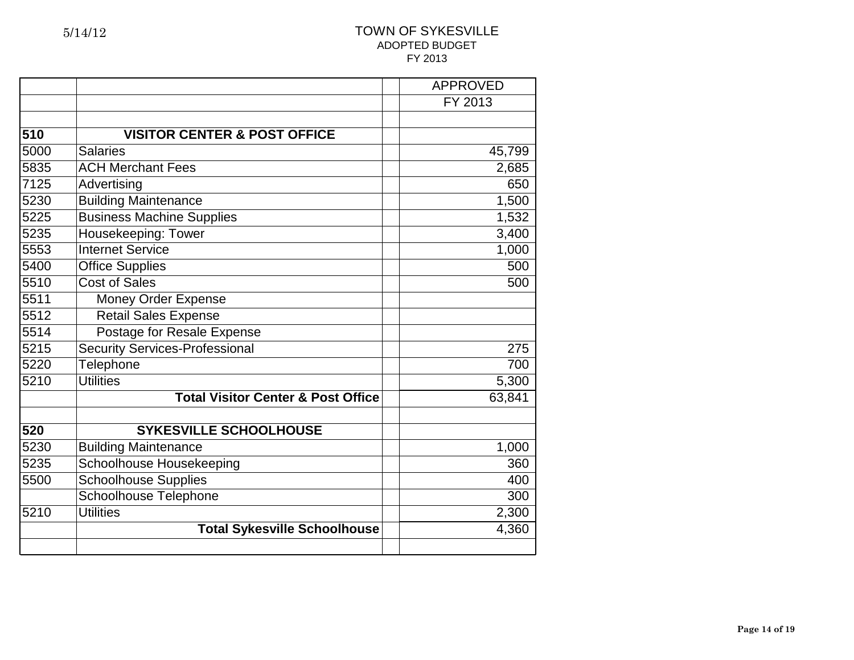|      |                                               | <b>APPROVED</b> |
|------|-----------------------------------------------|-----------------|
|      |                                               | FY 2013         |
|      |                                               |                 |
| 510  | <b>VISITOR CENTER &amp; POST OFFICE</b>       |                 |
| 5000 | <b>Salaries</b>                               | 45,799          |
| 5835 | <b>ACH Merchant Fees</b>                      | 2,685           |
| 7125 | Advertising                                   | 650             |
| 5230 | <b>Building Maintenance</b>                   | 1,500           |
| 5225 | <b>Business Machine Supplies</b>              | 1,532           |
| 5235 | Housekeeping: Tower                           | 3,400           |
| 5553 | <b>Internet Service</b>                       | 1,000           |
| 5400 | <b>Office Supplies</b>                        | 500             |
| 5510 | <b>Cost of Sales</b>                          | 500             |
| 5511 | Money Order Expense                           |                 |
| 5512 | <b>Retail Sales Expense</b>                   |                 |
| 5514 | <b>Postage for Resale Expense</b>             |                 |
| 5215 | <b>Security Services-Professional</b>         | 275             |
| 5220 | <b>Telephone</b>                              | 700             |
| 5210 | <b>Utilities</b>                              | 5,300           |
|      | <b>Total Visitor Center &amp; Post Office</b> | 63,841          |
| 520  | <b>SYKESVILLE SCHOOLHOUSE</b>                 |                 |
| 5230 | <b>Building Maintenance</b>                   | 1,000           |
| 5235 | Schoolhouse Housekeeping                      | 360             |
| 5500 | <b>Schoolhouse Supplies</b>                   | 400             |
|      | Schoolhouse Telephone                         | 300             |
| 5210 | <b>Utilities</b>                              | 2,300           |
|      | <b>Total Sykesville Schoolhouse</b>           | 4,360           |
|      |                                               |                 |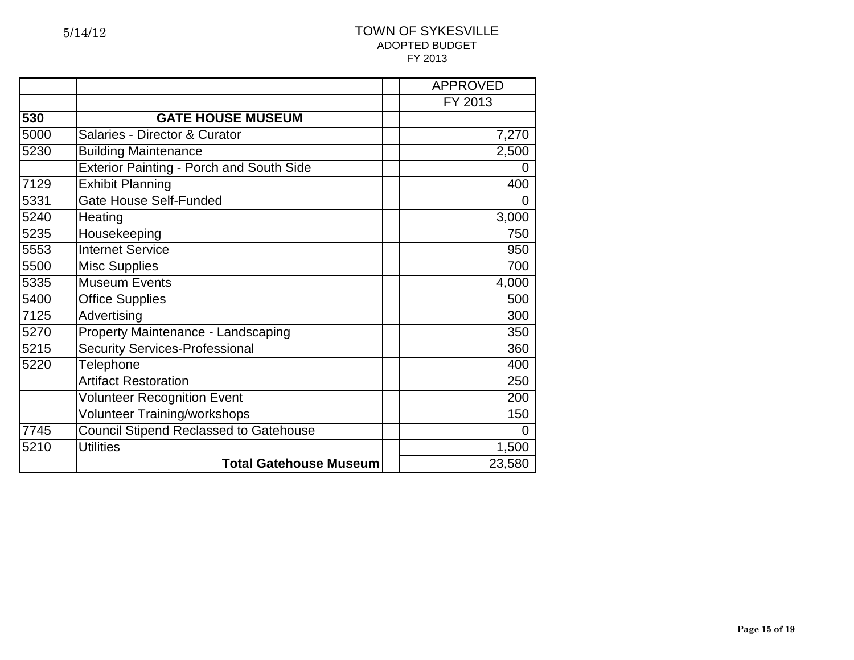|      |                                                 | <b>APPROVED</b> |
|------|-------------------------------------------------|-----------------|
|      |                                                 | FY 2013         |
| 530  | <b>GATE HOUSE MUSEUM</b>                        |                 |
| 5000 | Salaries - Director & Curator                   | 7,270           |
| 5230 | <b>Building Maintenance</b>                     | 2,500           |
|      | <b>Exterior Painting - Porch and South Side</b> | 0               |
| 7129 | <b>Exhibit Planning</b>                         | 400             |
| 5331 | <b>Gate House Self-Funded</b>                   | $\overline{0}$  |
| 5240 | Heating                                         | 3,000           |
| 5235 | Housekeeping                                    | 750             |
| 5553 | <b>Internet Service</b>                         | 950             |
| 5500 | <b>Misc Supplies</b>                            | 700             |
| 5335 | <b>Museum Events</b>                            | 4,000           |
| 5400 | <b>Office Supplies</b>                          | 500             |
| 7125 | Advertising                                     | 300             |
| 5270 | Property Maintenance - Landscaping              | 350             |
| 5215 | <b>Security Services-Professional</b>           | 360             |
| 5220 | <b>Telephone</b>                                | 400             |
|      | <b>Artifact Restoration</b>                     | 250             |
|      | <b>Volunteer Recognition Event</b>              | 200             |
|      | <b>Volunteer Training/workshops</b>             | 150             |
| 7745 | <b>Council Stipend Reclassed to Gatehouse</b>   | 0               |
| 5210 | <b>Utilities</b>                                | 1,500           |
|      | <b>Total Gatehouse Museum</b>                   | 23,580          |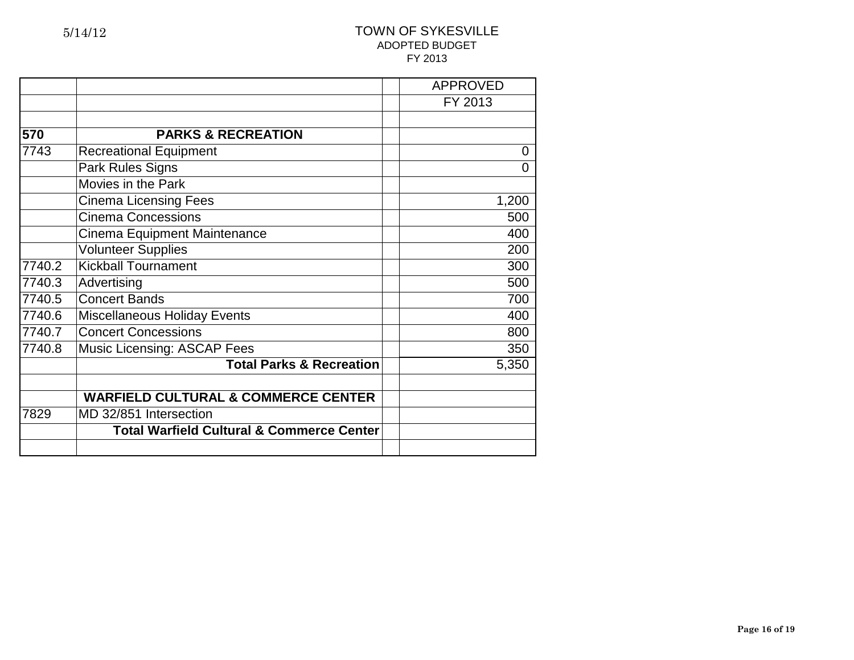|        |                                                      | <b>APPROVED</b> |
|--------|------------------------------------------------------|-----------------|
|        |                                                      | FY 2013         |
|        |                                                      |                 |
| 570    | <b>PARKS &amp; RECREATION</b>                        |                 |
| 7743   | <b>Recreational Equipment</b>                        | 0               |
|        | <b>Park Rules Signs</b>                              | $\overline{0}$  |
|        | Movies in the Park                                   |                 |
|        | <b>Cinema Licensing Fees</b>                         | 1,200           |
|        | <b>Cinema Concessions</b>                            | 500             |
|        | Cinema Equipment Maintenance                         | 400             |
|        | <b>Volunteer Supplies</b>                            | 200             |
| 7740.2 | <b>Kickball Tournament</b>                           | 300             |
| 7740.3 | Advertising                                          | 500             |
| 7740.5 | <b>Concert Bands</b>                                 | 700             |
| 7740.6 | <b>Miscellaneous Holiday Events</b>                  | 400             |
| 7740.7 | <b>Concert Concessions</b>                           | 800             |
| 7740.8 | <b>Music Licensing: ASCAP Fees</b>                   | 350             |
|        | <b>Total Parks &amp; Recreation</b>                  | 5,350           |
|        | <b>WARFIELD CULTURAL &amp; COMMERCE CENTER</b>       |                 |
| 7829   | MD 32/851 Intersection                               |                 |
|        | <b>Total Warfield Cultural &amp; Commerce Center</b> |                 |
|        |                                                      |                 |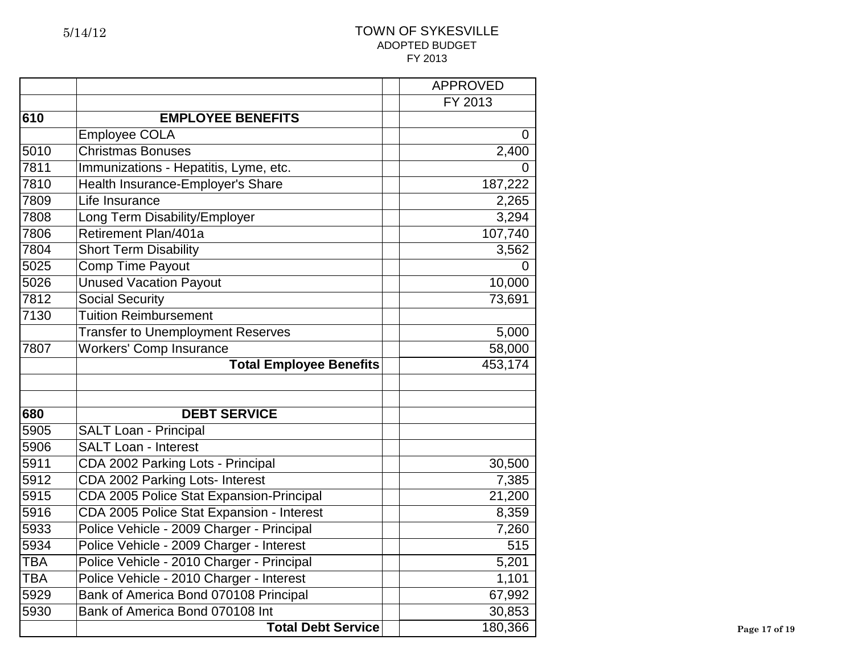|            |                                           | <b>APPROVED</b> |
|------------|-------------------------------------------|-----------------|
|            |                                           | FY 2013         |
| 610        | <b>EMPLOYEE BENEFITS</b>                  |                 |
|            | <b>Employee COLA</b>                      | 0               |
| 5010       | <b>Christmas Bonuses</b>                  | 2,400           |
| 7811       | Immunizations - Hepatitis, Lyme, etc.     | 0               |
| 7810       | Health Insurance-Employer's Share         | 187,222         |
| 7809       | Life Insurance                            | 2,265           |
| 7808       | Long Term Disability/Employer             | 3,294           |
| 7806       | Retirement Plan/401a                      | 107,740         |
| 7804       | <b>Short Term Disability</b>              | 3,562           |
| 5025       | <b>Comp Time Payout</b>                   | 0               |
| 5026       | <b>Unused Vacation Payout</b>             | 10,000          |
| 7812       | <b>Social Security</b>                    | 73,691          |
| 7130       | <b>Tuition Reimbursement</b>              |                 |
|            | <b>Transfer to Unemployment Reserves</b>  | 5,000           |
| 7807       | <b>Workers' Comp Insurance</b>            | 58,000          |
|            | <b>Total Employee Benefits</b>            | 453,174         |
|            |                                           |                 |
|            |                                           |                 |
| 680        | <b>DEBT SERVICE</b>                       |                 |
| 5905       | <b>SALT Loan - Principal</b>              |                 |
| 5906       | <b>SALT Loan - Interest</b>               |                 |
| 5911       | CDA 2002 Parking Lots - Principal         | 30,500          |
| 5912       | CDA 2002 Parking Lots- Interest           | 7,385           |
| 5915       | CDA 2005 Police Stat Expansion-Principal  | 21,200          |
| 5916       | CDA 2005 Police Stat Expansion - Interest | 8,359           |
| 5933       | Police Vehicle - 2009 Charger - Principal | 7,260           |
| 5934       | Police Vehicle - 2009 Charger - Interest  | 515             |
| <b>TBA</b> | Police Vehicle - 2010 Charger - Principal | 5,201           |
| <b>TBA</b> | Police Vehicle - 2010 Charger - Interest  | 1,101           |
| 5929       | Bank of America Bond 070108 Principal     | 67,992          |
| 5930       | Bank of America Bond 070108 Int           | 30,853          |
|            | <b>Total Debt Service</b>                 | 180, 366        |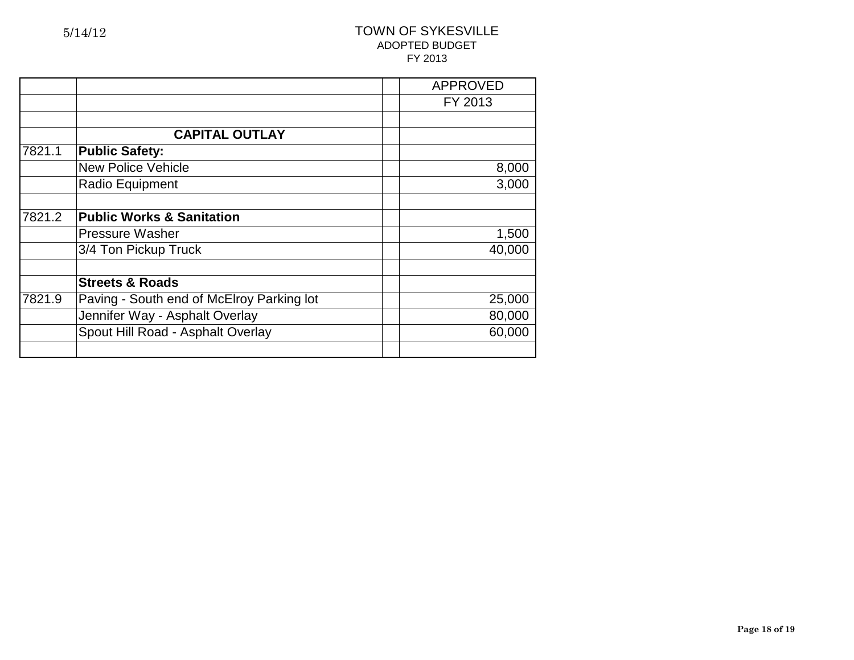|        |                                           | <b>APPROVED</b> |
|--------|-------------------------------------------|-----------------|
|        |                                           | FY 2013         |
|        |                                           |                 |
|        | <b>CAPITAL OUTLAY</b>                     |                 |
| 7821.1 | <b>Public Safety:</b>                     |                 |
|        | <b>New Police Vehicle</b>                 | 8,000           |
|        | Radio Equipment                           | 3,000           |
| 7821.2 | <b>Public Works &amp; Sanitation</b>      |                 |
|        | <b>Pressure Washer</b>                    | 1,500           |
|        | 3/4 Ton Pickup Truck                      | 40,000          |
|        | <b>Streets &amp; Roads</b>                |                 |
| 7821.9 | Paving - South end of McElroy Parking lot | 25,000          |
|        | Jennifer Way - Asphalt Overlay            | 80,000          |
|        | Spout Hill Road - Asphalt Overlay         | 60,000          |
|        |                                           |                 |